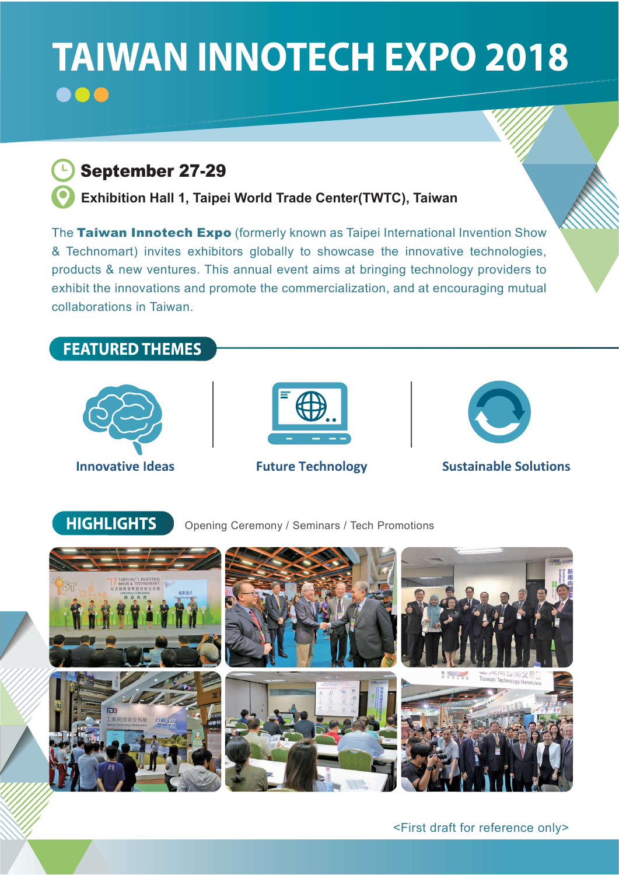## **TAIWAN INNOTECH EXPO 2018** 000



Exhibition Hall 1, Taipei World Trade Center(TWTC), Taiwan

The Taiwan Innotech Expo (formerly known as Taipei International Invention Show & Technomart) invites exhibitors globally to showcase the innovative technologies, products & new ventures. This annual event aims at bringing technology providers to exhibit the innovations and promote the commercialization, and at encouraging mutual collaborations in Taiwan.



<First draft for reference only>